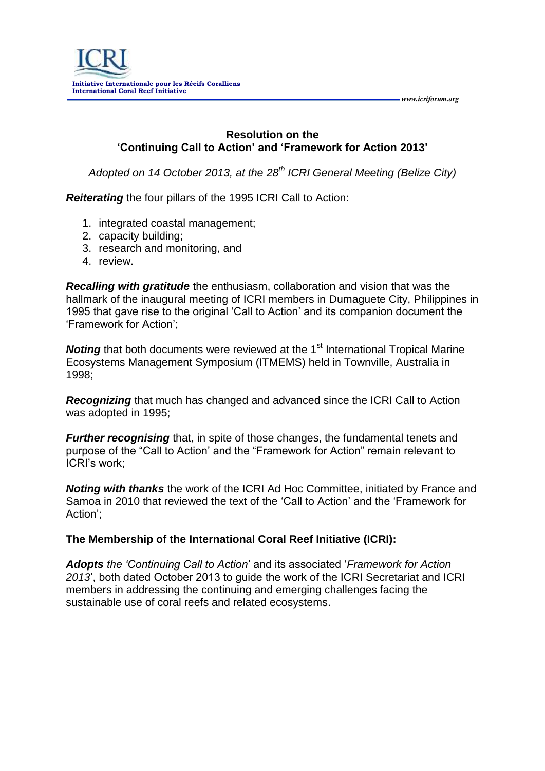

#### **Resolution on the 'Continuing Call to Action' and 'Framework for Action 2013'**

*Adopted on 14 October 2013, at the 28th ICRI General Meeting (Belize City)*

*Reiterating* the four pillars of the 1995 ICRI Call to Action:

- 1. integrated coastal management;
- 2. capacity building;
- 3. research and monitoring, and
- 4. review.

*Recalling with gratitude* the enthusiasm, collaboration and vision that was the hallmark of the inaugural meeting of ICRI members in Dumaguete City, Philippines in 1995 that gave rise to the original 'Call to Action' and its companion document the 'Framework for Action';

**Noting** that both documents were reviewed at the 1<sup>st</sup> International Tropical Marine Ecosystems Management Symposium (ITMEMS) held in Townville, Australia in 1998;

*Recognizing* that much has changed and advanced since the ICRI Call to Action was adopted in 1995;

*Further recognising* that, in spite of those changes, the fundamental tenets and purpose of the "Call to Action' and the "Framework for Action" remain relevant to ICRI's work;

*Noting with thanks* the work of the ICRI Ad Hoc Committee, initiated by France and Samoa in 2010 that reviewed the text of the 'Call to Action' and the 'Framework for Action';

#### **The Membership of the International Coral Reef Initiative (ICRI):**

*Adopts the 'Continuing Call to Action*' and its associated '*Framework for Action 2013*', both dated October 2013 to guide the work of the ICRI Secretariat and ICRI members in addressing the continuing and emerging challenges facing the sustainable use of coral reefs and related ecosystems.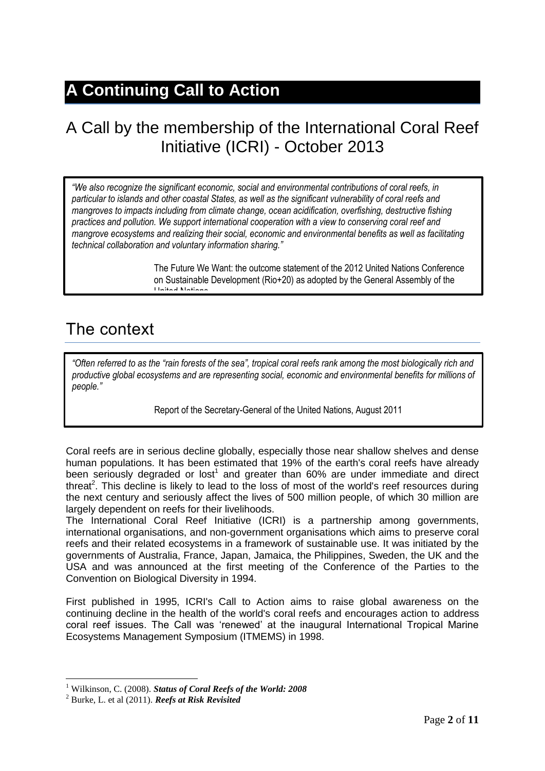# **A Continuing Call to Action**

# A Call by the membership of the International Coral Reef Initiative (ICRI) - October 2013

*"We also recognize the significant economic, social and environmental contributions of coral reefs, in particular to islands and other coastal States, as well as the significant vulnerability of coral reefs and mangroves to impacts including from climate change, ocean acidification, overfishing, destructive fishing practices and pollution. We support international cooperation with a view to conserving coral reef and mangrove ecosystems and realizing their social, economic and environmental benefits as well as facilitating technical collaboration and voluntary information sharing."*

> The Future We Want: the outcome statement of the 2012 United Nations Conference on Sustainable Development (Rio+20) as adopted by the General Assembly of the United Nations

### The context

*"Often referred to as the "rain forests of the sea", tropical coral reefs rank among the most biologically rich and productive global ecosystems and are representing social, economic and environmental benefits for millions of people."*

Report of the Secretary-General of the United Nations, August 2011

Coral reefs are in serious decline globally, especially those near shallow shelves and dense human populations. It has been estimated that 19% of the earth's coral reefs have already been seriously degraded or lost<sup>1</sup> and greater than 60% are under immediate and direct threat<sup>2</sup>. This decline is likely to lead to the loss of most of the world's reef resources during the next century and seriously affect the lives of 500 million people, of which 30 million are largely dependent on reefs for their livelihoods.

The International Coral Reef Initiative (ICRI) is a partnership among governments, international organisations, and non-government organisations which aims to preserve coral reefs and their related ecosystems in a framework of sustainable use. It was initiated by the governments of Australia, France, Japan, Jamaica, the Philippines, Sweden, the UK and the USA and was announced at the first meeting of the Conference of the Parties to the Convention on Biological Diversity in 1994.

First published in 1995, ICRI's Call to Action aims to raise global awareness on the continuing decline in the health of the world's coral reefs and encourages action to address coral reef issues. The Call was 'renewed' at the inaugural International Tropical Marine Ecosystems Management Symposium (ITMEMS) in 1998.

<sup>1</sup> <sup>1</sup> Wilkinson, C. (2008). *Status of Coral Reefs of the World: 2008*

<sup>2</sup> Burke, L. et al (2011). *Reefs at Risk Revisited*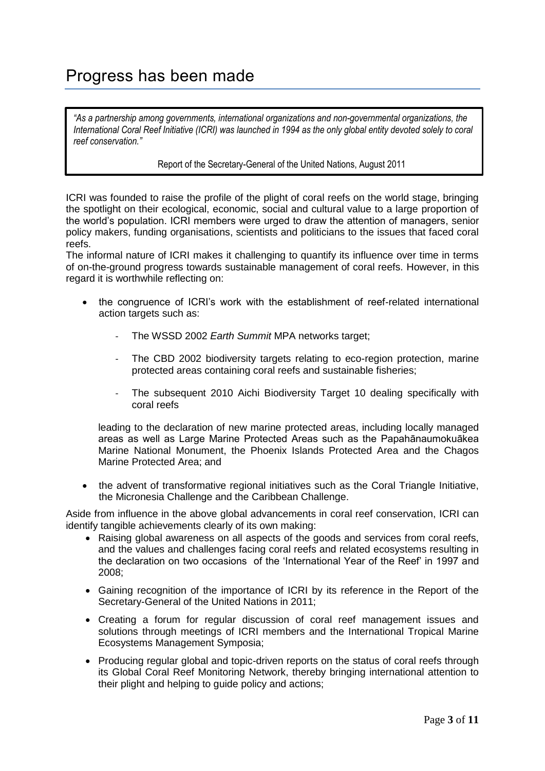# Progress has been made

*"As a partnership among governments, international organizations and non-governmental organizations, the International Coral Reef Initiative (ICRI) was launched in 1994 as the only global entity devoted solely to coral reef conservation."*

Report of the Secretary-General of the United Nations, August 2011

ICRI was founded to raise the profile of the plight of coral reefs on the world stage, bringing the spotlight on their ecological, economic, social and cultural value to a large proportion of the world's population. ICRI members were urged to draw the attention of managers, senior policy makers, funding organisations, scientists and politicians to the issues that faced coral reefs.

The informal nature of ICRI makes it challenging to quantify its influence over time in terms of on-the-ground progress towards sustainable management of coral reefs. However, in this regard it is worthwhile reflecting on:

- the congruence of ICRI's work with the establishment of reef-related international action targets such as:
	- The WSSD 2002 *Earth Summit* MPA networks target;
	- The CBD 2002 biodiversity targets relating to eco-region protection, marine protected areas containing coral reefs and sustainable fisheries;
	- The subsequent 2010 Aichi Biodiversity Target 10 dealing specifically with coral reefs

leading to the declaration of new marine protected areas, including locally managed areas as well as Large Marine Protected Areas such as the Papahānaumokuākea Marine National Monument, the Phoenix Islands Protected Area and the Chagos Marine Protected Area; and

 the advent of transformative regional initiatives such as the Coral Triangle Initiative, the Micronesia Challenge and the Caribbean Challenge.

Aside from influence in the above global advancements in coral reef conservation, ICRI can identify tangible achievements clearly of its own making:

- Raising global awareness on all aspects of the goods and services from coral reefs, and the values and challenges facing coral reefs and related ecosystems resulting in the declaration on two occasions of the 'International Year of the Reef' in 1997 and 2008;
- Gaining recognition of the importance of ICRI by its reference in the Report of the Secretary-General of the United Nations in 2011;
- Creating a forum for regular discussion of coral reef management issues and solutions through meetings of ICRI members and the International Tropical Marine Ecosystems Management Symposia;
- Producing regular global and topic-driven reports on the status of coral reefs through its Global Coral Reef Monitoring Network, thereby bringing international attention to their plight and helping to guide policy and actions;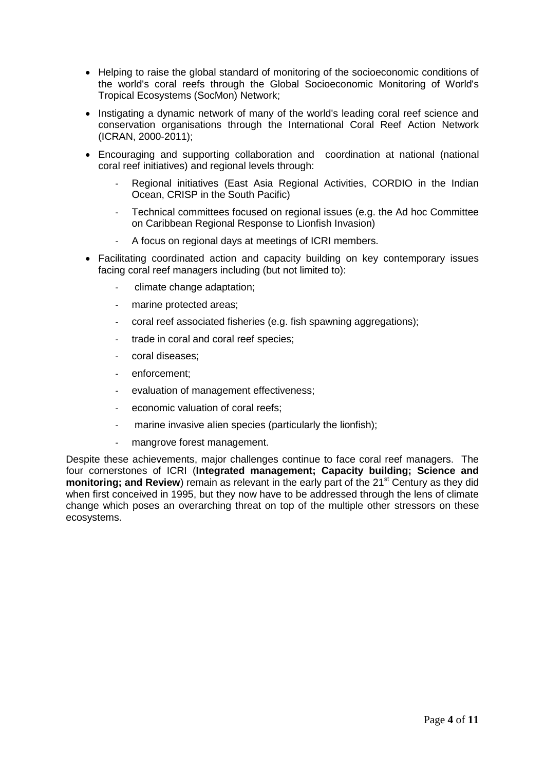- Helping to raise the global standard of monitoring of the socioeconomic conditions of the world's coral reefs through the Global Socioeconomic Monitoring of World's Tropical Ecosystems (SocMon) Network;
- Instigating a dynamic network of many of the world's leading coral reef science and conservation organisations through the International Coral Reef Action Network (ICRAN, 2000-2011);
- Encouraging and supporting collaboration and coordination at national (national coral reef initiatives) and regional levels through:
	- Regional initiatives (East Asia Regional Activities, CORDIO in the Indian Ocean, CRISP in the South Pacific)
	- Technical committees focused on regional issues (e.g. the Ad hoc Committee on Caribbean Regional Response to Lionfish Invasion)
	- A focus on regional days at meetings of ICRI members.
- Facilitating coordinated action and capacity building on key contemporary issues facing coral reef managers including (but not limited to):
	- climate change adaptation;
	- marine protected areas;
	- coral reef associated fisheries (e.g. fish spawning aggregations);
	- trade in coral and coral reef species;
	- coral diseases;
	- enforcement;
	- evaluation of management effectiveness;
	- economic valuation of coral reefs;
	- marine invasive alien species (particularly the lionfish);
	- mangrove forest management.

Despite these achievements, major challenges continue to face coral reef managers. The four cornerstones of ICRI (**Integrated management; Capacity building; Science and monitoring; and Review**) remain as relevant in the early part of the 21<sup>st</sup> Century as they did when first conceived in 1995, but they now have to be addressed through the lens of climate change which poses an overarching threat on top of the multiple other stressors on these ecosystems.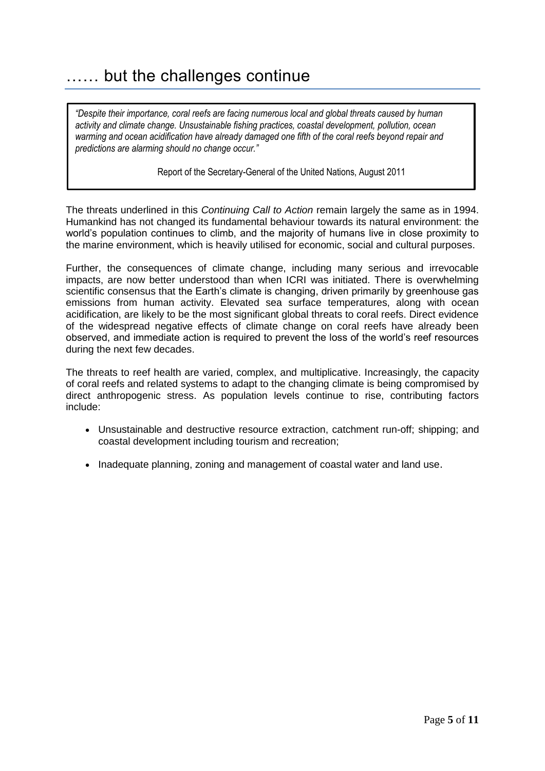### …… but the challenges continue

*"Despite their importance, coral reefs are facing numerous local and global threats caused by human activity and climate change. Unsustainable fishing practices, coastal development, pollution, ocean warming and ocean acidification have already damaged one fifth of the coral reefs beyond repair and predictions are alarming should no change occur."*

Report of the Secretary-General of the United Nations, August 2011

The threats underlined in this *Continuing Call to Action* remain largely the same as in 1994. Humankind has not changed its fundamental behaviour towards its natural environment: the world's population continues to climb, and the majority of humans live in close proximity to the marine environment, which is heavily utilised for economic, social and cultural purposes.

Further, the consequences of climate change, including many serious and irrevocable impacts, are now better understood than when ICRI was initiated. There is overwhelming scientific consensus that the Earth's climate is changing, driven primarily by greenhouse gas emissions from human activity. Elevated sea surface temperatures, along with ocean acidification, are likely to be the most significant global threats to coral reefs. Direct evidence of the widespread negative effects of climate change on coral reefs have already been observed, and immediate action is required to prevent the loss of the world's reef resources during the next few decades.

The threats to reef health are varied, complex, and multiplicative. Increasingly, the capacity of coral reefs and related systems to adapt to the changing climate is being compromised by direct anthropogenic stress. As population levels continue to rise, contributing factors include:

- Unsustainable and destructive resource extraction, catchment run-off; shipping; and coastal development including tourism and recreation;
- Inadequate planning, zoning and management of coastal water and land use.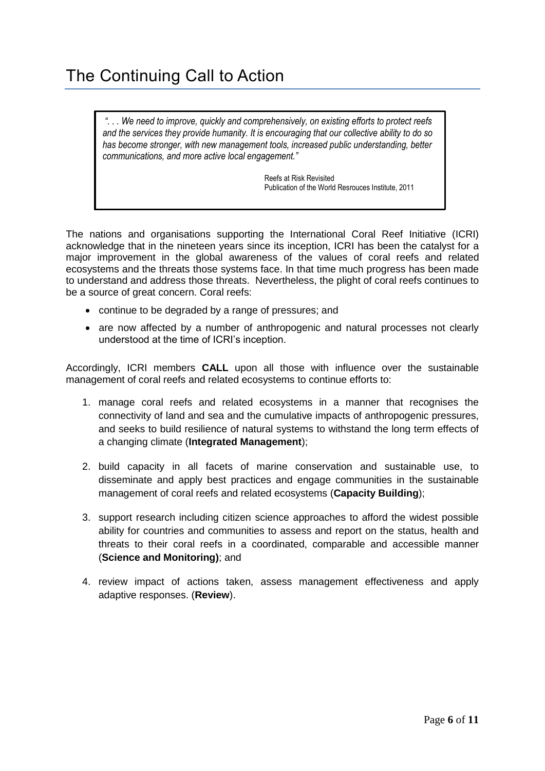*". . . We need to improve, quickly and comprehensively, on existing efforts to protect reefs and the services they provide humanity. It is encouraging that our collective ability to do so has become stronger, with new management tools, increased public understanding, better communications, and more active local engagement."*

> Reefs at Risk Revisited Publication of the World Resrouces Institute, 2011

The nations and organisations supporting the International Coral Reef Initiative (ICRI) acknowledge that in the nineteen years since its inception, ICRI has been the catalyst for a major improvement in the global awareness of the values of coral reefs and related ecosystems and the threats those systems face. In that time much progress has been made to understand and address those threats. Nevertheless, the plight of coral reefs continues to be a source of great concern. Coral reefs:

- continue to be degraded by a range of pressures; and
- are now affected by a number of anthropogenic and natural processes not clearly understood at the time of ICRI's inception.

Accordingly, ICRI members **CALL** upon all those with influence over the sustainable management of coral reefs and related ecosystems to continue efforts to:

- 1. manage coral reefs and related ecosystems in a manner that recognises the connectivity of land and sea and the cumulative impacts of anthropogenic pressures, and seeks to build resilience of natural systems to withstand the long term effects of a changing climate (**Integrated Management**);
- 2. build capacity in all facets of marine conservation and sustainable use, to disseminate and apply best practices and engage communities in the sustainable management of coral reefs and related ecosystems (**Capacity Building**);
- 3. support research including citizen science approaches to afford the widest possible ability for countries and communities to assess and report on the status, health and threats to their coral reefs in a coordinated, comparable and accessible manner (**Science and Monitoring)**; and
- 4. review impact of actions taken, assess management effectiveness and apply adaptive responses. (**Review**).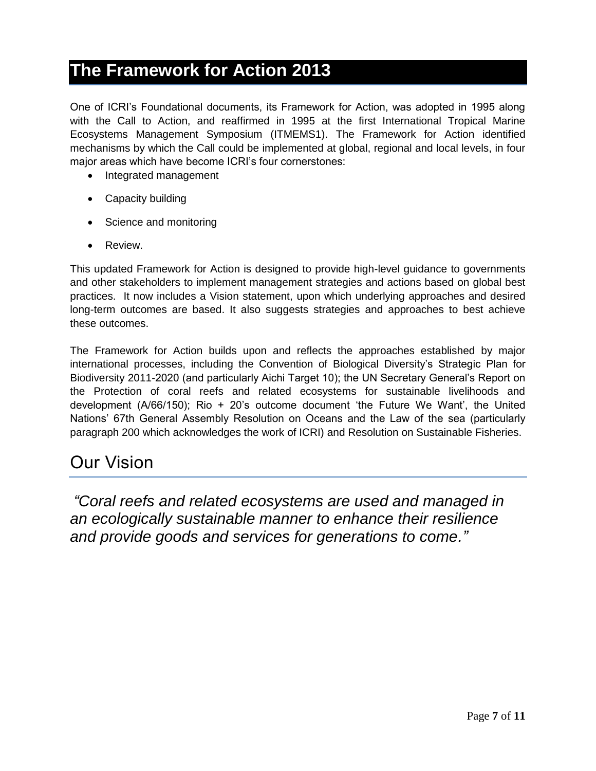#### **The Framework for Action 2013**

One of ICRI's Foundational documents, its Framework for Action, was adopted in 1995 along with the Call to Action, and reaffirmed in 1995 at the first International Tropical Marine Ecosystems Management Symposium (ITMEMS1). The Framework for Action identified mechanisms by which the Call could be implemented at global, regional and local levels, in four major areas which have become ICRI's four cornerstones:

- Integrated management
- Capacity building
- Science and monitoring
- Review.

This updated Framework for Action is designed to provide high-level guidance to governments and other stakeholders to implement management strategies and actions based on global best practices. It now includes a Vision statement, upon which underlying approaches and desired long-term outcomes are based. It also suggests strategies and approaches to best achieve these outcomes.

The Framework for Action builds upon and reflects the approaches established by major international processes, including the Convention of Biological Diversity's Strategic Plan for Biodiversity 2011-2020 (and particularly Aichi Target 10); the UN Secretary General's Report on the Protection of coral reefs and related ecosystems for sustainable livelihoods and development (A/66/150); Rio + 20's outcome document 'the Future We Want', the United Nations' 67th General Assembly Resolution on Oceans and the Law of the sea (particularly paragraph 200 which acknowledges the work of ICRI) and Resolution on Sustainable Fisheries.

#### Our Vision

*"Coral reefs and related ecosystems are used and managed in an ecologically sustainable manner to enhance their resilience and provide goods and services for generations to come."*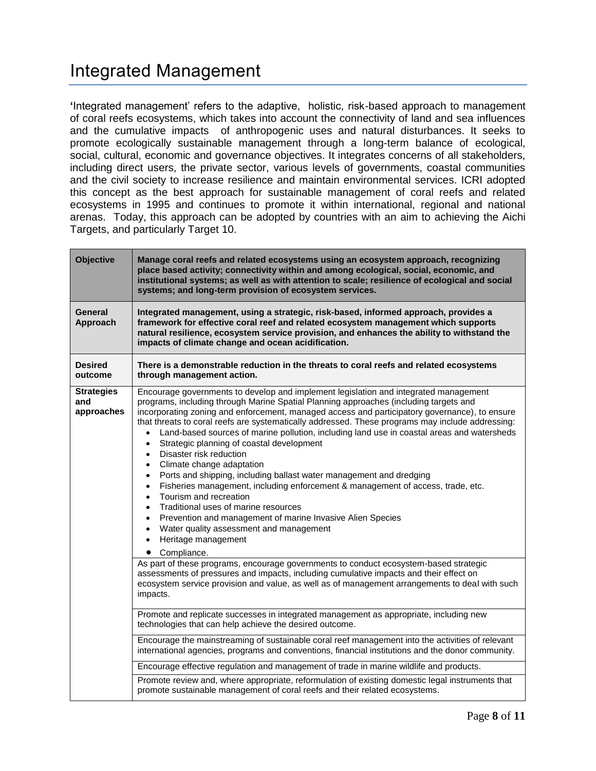# Integrated Management

**'**Integrated management' refers to the adaptive, holistic, risk-based approach to management of coral reefs ecosystems, which takes into account the connectivity of land and sea influences and the cumulative impacts of anthropogenic uses and natural disturbances. It seeks to promote ecologically sustainable management through a long-term balance of ecological, social, cultural, economic and governance objectives. It integrates concerns of all stakeholders, including direct users, the private sector, various levels of governments, coastal communities and the civil society to increase resilience and maintain environmental services. ICRI adopted this concept as the best approach for sustainable management of coral reefs and related ecosystems in 1995 and continues to promote it within international, regional and national arenas. Today, this approach can be adopted by countries with an aim to achieving the Aichi Targets, and particularly Target 10.

| <b>Objective</b>                       | Manage coral reefs and related ecosystems using an ecosystem approach, recognizing<br>place based activity; connectivity within and among ecological, social, economic, and<br>institutional systems; as well as with attention to scale; resilience of ecological and social<br>systems; and long-term provision of ecosystem services.                                                                                                                                                                                                                                                                                                                                                                                                                                                                                                                                                                                                                                                                                                                                                           |
|----------------------------------------|----------------------------------------------------------------------------------------------------------------------------------------------------------------------------------------------------------------------------------------------------------------------------------------------------------------------------------------------------------------------------------------------------------------------------------------------------------------------------------------------------------------------------------------------------------------------------------------------------------------------------------------------------------------------------------------------------------------------------------------------------------------------------------------------------------------------------------------------------------------------------------------------------------------------------------------------------------------------------------------------------------------------------------------------------------------------------------------------------|
| <b>General</b><br>Approach             | Integrated management, using a strategic, risk-based, informed approach, provides a<br>framework for effective coral reef and related ecosystem management which supports<br>natural resilience, ecosystem service provision, and enhances the ability to withstand the<br>impacts of climate change and ocean acidification.                                                                                                                                                                                                                                                                                                                                                                                                                                                                                                                                                                                                                                                                                                                                                                      |
| <b>Desired</b><br>outcome              | There is a demonstrable reduction in the threats to coral reefs and related ecosystems<br>through management action.                                                                                                                                                                                                                                                                                                                                                                                                                                                                                                                                                                                                                                                                                                                                                                                                                                                                                                                                                                               |
| <b>Strategies</b><br>and<br>approaches | Encourage governments to develop and implement legislation and integrated management<br>programs, including through Marine Spatial Planning approaches (including targets and<br>incorporating zoning and enforcement, managed access and participatory governance), to ensure<br>that threats to coral reefs are systematically addressed. These programs may include addressing:<br>Land-based sources of marine pollution, including land use in coastal areas and watersheds<br>$\bullet$<br>Strategic planning of coastal development<br>$\bullet$<br>Disaster risk reduction<br>$\bullet$<br>Climate change adaptation<br>Ports and shipping, including ballast water management and dredging<br>$\bullet$<br>Fisheries management, including enforcement & management of access, trade, etc.<br>$\bullet$<br>Tourism and recreation<br>$\bullet$<br>Traditional uses of marine resources<br>$\bullet$<br>Prevention and management of marine Invasive Alien Species<br>$\bullet$<br>Water quality assessment and management<br>Heritage management<br>$\bullet$<br>Compliance.<br>$\bullet$ |
|                                        | As part of these programs, encourage governments to conduct ecosystem-based strategic<br>assessments of pressures and impacts, including cumulative impacts and their effect on<br>ecosystem service provision and value, as well as of management arrangements to deal with such<br>impacts.                                                                                                                                                                                                                                                                                                                                                                                                                                                                                                                                                                                                                                                                                                                                                                                                      |
|                                        | Promote and replicate successes in integrated management as appropriate, including new<br>technologies that can help achieve the desired outcome.                                                                                                                                                                                                                                                                                                                                                                                                                                                                                                                                                                                                                                                                                                                                                                                                                                                                                                                                                  |
|                                        | Encourage the mainstreaming of sustainable coral reef management into the activities of relevant<br>international agencies, programs and conventions, financial institutions and the donor community.                                                                                                                                                                                                                                                                                                                                                                                                                                                                                                                                                                                                                                                                                                                                                                                                                                                                                              |
|                                        | Encourage effective regulation and management of trade in marine wildlife and products.                                                                                                                                                                                                                                                                                                                                                                                                                                                                                                                                                                                                                                                                                                                                                                                                                                                                                                                                                                                                            |
|                                        | Promote review and, where appropriate, reformulation of existing domestic legal instruments that<br>promote sustainable management of coral reefs and their related ecosystems.                                                                                                                                                                                                                                                                                                                                                                                                                                                                                                                                                                                                                                                                                                                                                                                                                                                                                                                    |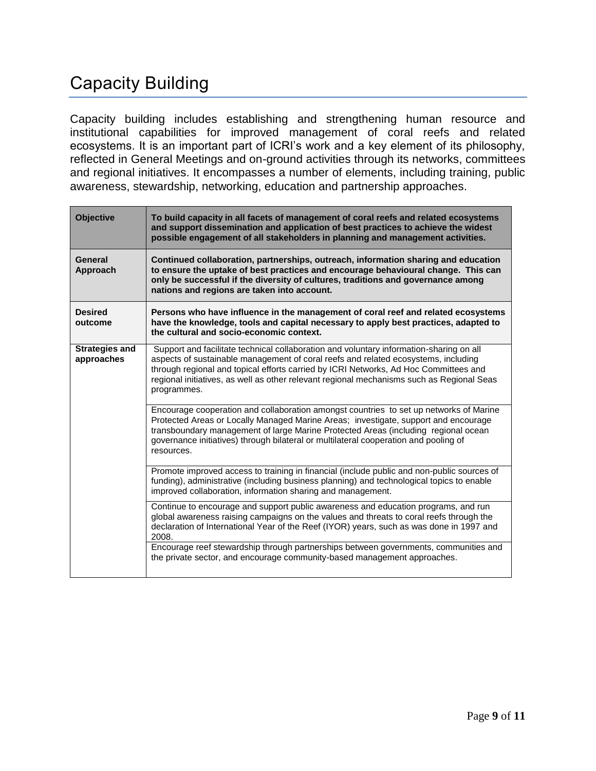# Capacity Building

Capacity building includes establishing and strengthening human resource and institutional capabilities for improved management of coral reefs and related ecosystems. It is an important part of ICRI's work and a key element of its philosophy, reflected in General Meetings and on-ground activities through its networks, committees and regional initiatives. It encompasses a number of elements, including training, public awareness, stewardship, networking, education and partnership approaches.

| <b>Objective</b>                    | To build capacity in all facets of management of coral reefs and related ecosystems<br>and support dissemination and application of best practices to achieve the widest<br>possible engagement of all stakeholders in planning and management activities.                                                                                                                        |
|-------------------------------------|-----------------------------------------------------------------------------------------------------------------------------------------------------------------------------------------------------------------------------------------------------------------------------------------------------------------------------------------------------------------------------------|
| General<br>Approach                 | Continued collaboration, partnerships, outreach, information sharing and education<br>to ensure the uptake of best practices and encourage behavioural change. This can<br>only be successful if the diversity of cultures, traditions and governance among<br>nations and regions are taken into account.                                                                        |
| <b>Desired</b><br>outcome           | Persons who have influence in the management of coral reef and related ecosystems<br>have the knowledge, tools and capital necessary to apply best practices, adapted to<br>the cultural and socio-economic context.                                                                                                                                                              |
| <b>Strategies and</b><br>approaches | Support and facilitate technical collaboration and voluntary information-sharing on all<br>aspects of sustainable management of coral reefs and related ecosystems, including<br>through regional and topical efforts carried by ICRI Networks, Ad Hoc Committees and<br>regional initiatives, as well as other relevant regional mechanisms such as Regional Seas<br>programmes. |
|                                     | Encourage cooperation and collaboration amongst countries to set up networks of Marine<br>Protected Areas or Locally Managed Marine Areas; investigate, support and encourage<br>transboundary management of large Marine Protected Areas (including regional ocean<br>governance initiatives) through bilateral or multilateral cooperation and pooling of<br>resources.         |
|                                     | Promote improved access to training in financial (include public and non-public sources of<br>funding), administrative (including business planning) and technological topics to enable<br>improved collaboration, information sharing and management.                                                                                                                            |
|                                     | Continue to encourage and support public awareness and education programs, and run<br>global awareness raising campaigns on the values and threats to coral reefs through the<br>declaration of International Year of the Reef (IYOR) years, such as was done in 1997 and<br>2008.                                                                                                |
|                                     | Encourage reef stewardship through partnerships between governments, communities and<br>the private sector, and encourage community-based management approaches.                                                                                                                                                                                                                  |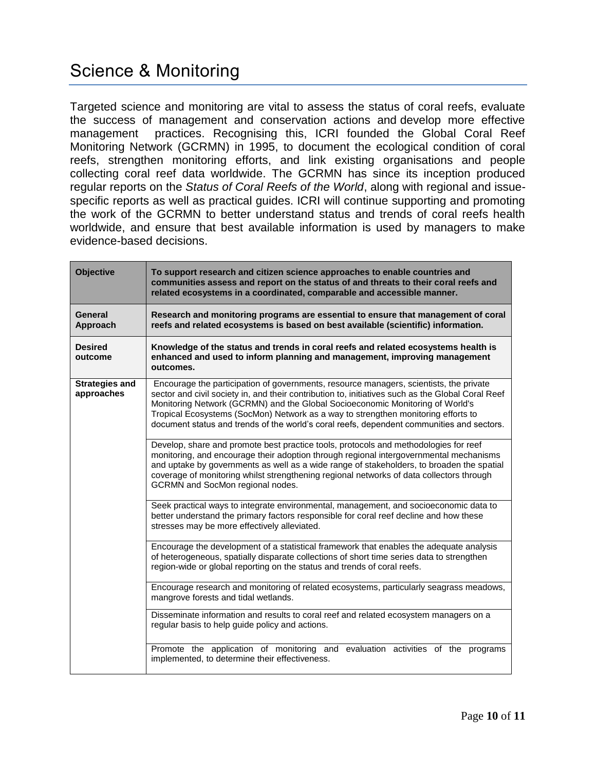Targeted science and monitoring are vital to assess the status of coral reefs, evaluate the success of management and conservation actions and develop more effective management practices. Recognising this, ICRI founded the Global Coral Reef Monitoring Network (GCRMN) in 1995, to document the ecological condition of coral reefs, strengthen monitoring efforts, and link existing organisations and people collecting coral reef data worldwide. The GCRMN has since its inception produced regular reports on the *Status of Coral Reefs of the World*, along with regional and issuespecific reports as well as practical guides. ICRI will continue supporting and promoting the work of the GCRMN to better understand status and trends of coral reefs health worldwide, and ensure that best available information is used by managers to make evidence-based decisions.

| <b>Objective</b>                    | To support research and citizen science approaches to enable countries and<br>communities assess and report on the status of and threats to their coral reefs and<br>related ecosystems in a coordinated, comparable and accessible manner.                                                                                                                                                                                                                    |
|-------------------------------------|----------------------------------------------------------------------------------------------------------------------------------------------------------------------------------------------------------------------------------------------------------------------------------------------------------------------------------------------------------------------------------------------------------------------------------------------------------------|
| General<br>Approach                 | Research and monitoring programs are essential to ensure that management of coral<br>reefs and related ecosystems is based on best available (scientific) information.                                                                                                                                                                                                                                                                                         |
| <b>Desired</b><br>outcome           | Knowledge of the status and trends in coral reefs and related ecosystems health is<br>enhanced and used to inform planning and management, improving management<br>outcomes.                                                                                                                                                                                                                                                                                   |
| <b>Strategies and</b><br>approaches | Encourage the participation of governments, resource managers, scientists, the private<br>sector and civil society in, and their contribution to, initiatives such as the Global Coral Reef<br>Monitoring Network (GCRMN) and the Global Socioeconomic Monitoring of World's<br>Tropical Ecosystems (SocMon) Network as a way to strengthen monitoring efforts to<br>document status and trends of the world's coral reefs, dependent communities and sectors. |
|                                     | Develop, share and promote best practice tools, protocols and methodologies for reef<br>monitoring, and encourage their adoption through regional intergovernmental mechanisms<br>and uptake by governments as well as a wide range of stakeholders, to broaden the spatial<br>coverage of monitoring whilst strengthening regional networks of data collectors through<br>GCRMN and SocMon regional nodes.                                                    |
|                                     | Seek practical ways to integrate environmental, management, and socioeconomic data to<br>better understand the primary factors responsible for coral reef decline and how these<br>stresses may be more effectively alleviated.                                                                                                                                                                                                                                |
|                                     | Encourage the development of a statistical framework that enables the adequate analysis<br>of heterogeneous, spatially disparate collections of short time series data to strengthen<br>region-wide or global reporting on the status and trends of coral reefs.                                                                                                                                                                                               |
|                                     | Encourage research and monitoring of related ecosystems, particularly seagrass meadows,<br>mangrove forests and tidal wetlands.                                                                                                                                                                                                                                                                                                                                |
|                                     | Disseminate information and results to coral reef and related ecosystem managers on a<br>regular basis to help guide policy and actions.                                                                                                                                                                                                                                                                                                                       |
|                                     | Promote the application of monitoring and evaluation activities of the programs<br>implemented, to determine their effectiveness.                                                                                                                                                                                                                                                                                                                              |